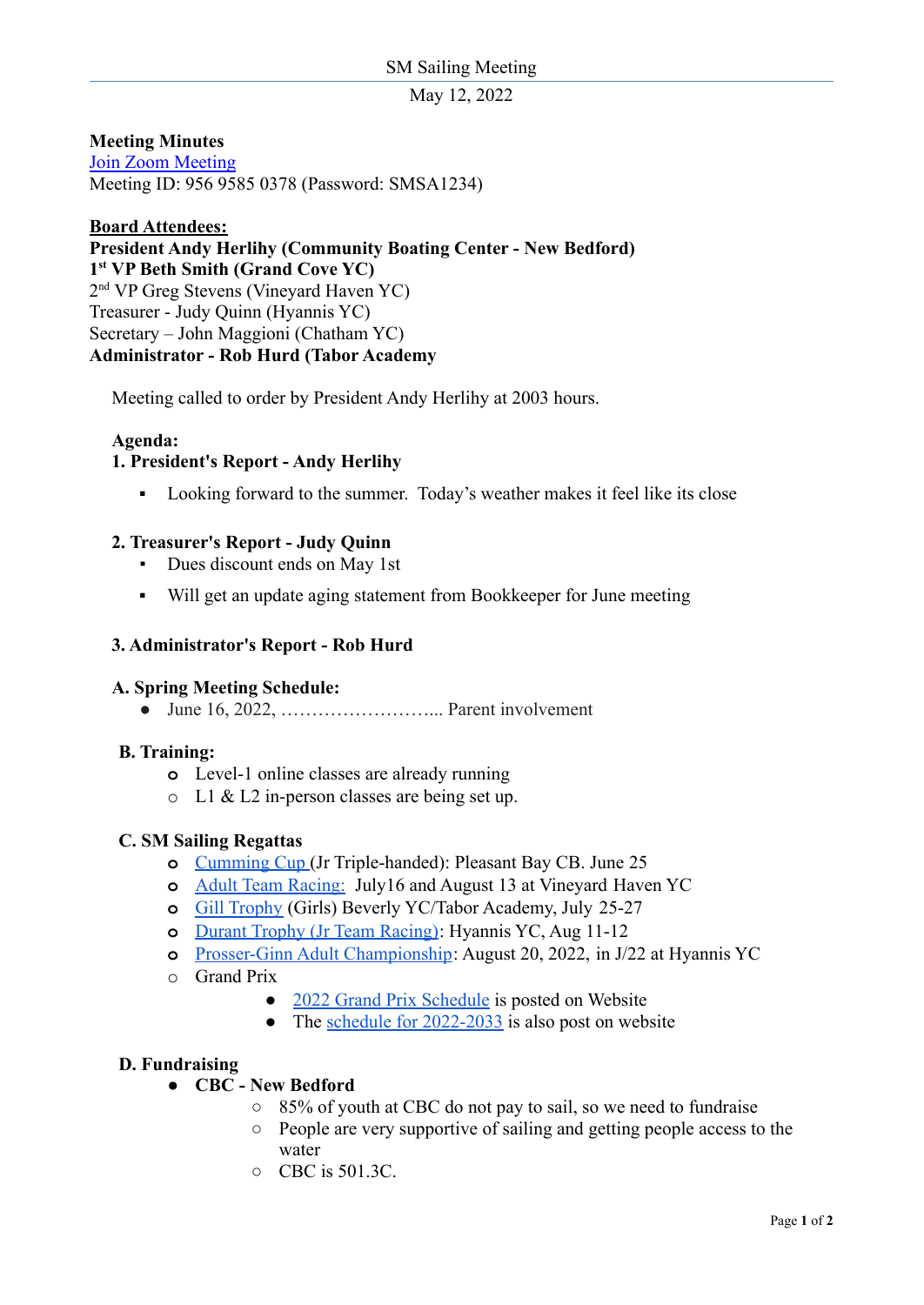May 12, 2022

# **Meeting Minutes**

[Join Zoom Meeting](https://zoom.us/j/97631974935?pwd=WGhBekQrVWhGTThvWm9LUWw4a1lkZz09) Meeting ID: 956 9585 0378 (Password: SMSA1234)

**Board Attendees: President Andy Herlihy (Community Boating Center - New Bedford) 1 st VP Beth Smith (Grand Cove YC)** 2 nd VP Greg Stevens (Vineyard Haven YC) Treasurer - Judy Quinn (Hyannis YC) Secretary – John Maggioni (Chatham YC) **Administrator - Rob Hurd (Tabor Academy**

Meeting called to order by President Andy Herlihy at 2003 hours.

### **Agenda:**

# **1. President's Report - Andy Herlihy**

▪ Looking forward to the summer. Today's weather makes it feel like its close

#### **2. Treasurer's Report - Judy Quinn**

- Dues discount ends on May 1st
- Will get an update aging statement from Bookkeeper for June meeting

## **3. Administrator's Report - Rob Hurd**

#### **A. Spring Meeting Schedule:**

● June 16, 2022, ……………………... Parent involvement

#### **B. Training:**

- **o** Level-1 online classes are already running
- o L1 & L2 in-person classes are being set up.

#### **C. SM Sailing Regattas**

- **o** [Cumming Cup](https://www.southernmasssailing.com/ma-sailing-cumming-cup.asp) (Jr Triple-handed): Pleasant Bay CB. June 25
- **o** [Adult Team Racing:](https://www.southernmasssailing.com/ma-sailing-association-team-racing.asp) July16 and August 13 at Vineyard Haven YC
- **o** [Gill Trophy](https://www.southernmasssailing.com/ma-sailing-gill-trophy.asp) (Girls) Beverly YC/Tabor Academy, July 25-27
- **o** [Durant Trophy \(Jr Team Racing\)](https://www.southernmasssailing.com/ma-sailing-association-team-racing.asp): Hyannis YC, Aug 11-12
- **o** [Prosser-Ginn Adult Championship](https://www.southernmasssailing.com/ma-sailing-seward-prosser-cup.asp): August 20, 2022, in J/22 at Hyannis YC
- o Grand Prix
	- [2022 Grand Prix Schedule](https://www.southernmasssailing.com/ma-sailing-association-grand-prix.asp) is posted on Website
	- The [schedule for 2022-2033](https://docs.google.com/spreadsheets/d/1bnI-N0cvZuG4EI_VjB2yU0s606gHcaWu/edit#gid=1120670652) is also post on website

#### **D. Fundraising**

- **● CBC New Bedford**
	- 85% of youth at CBC do not pay to sail, so we need to fundraise
	- People are very supportive of sailing and getting people access to the water
	- $O$  CBC is 501.3C.